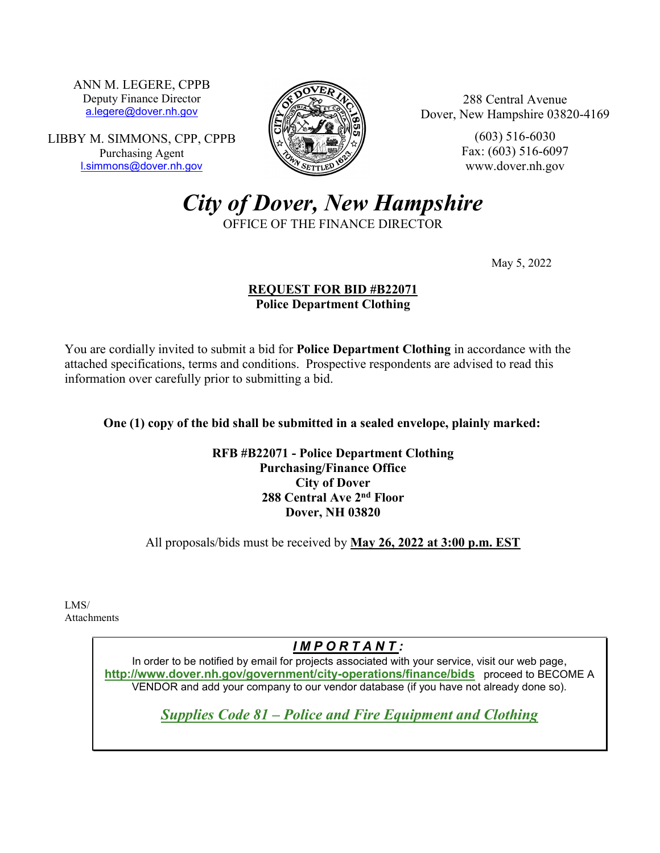ANN M. LEGERE, CPPB Deputy Finance Director [a.legere@dover.nh.gov](mailto:a.legere@dover.nh.gov)

LIBBY M. SIMMONS, CPP, CPPB Purchasing Agent [l.simmons@dover.nh.gov](mailto:l.simmons@dover.nh.gov)



288 Central Avenue Dover, New Hampshire 03820-4169

> (603) 516-6030 Fax: (603) 516-6097 www.dover.nh.gov

*City of Dover, New Hampshire*

OFFICE OF THE FINANCE DIRECTOR

May 5, 2022

### **REQUEST FOR BID #B22071 Police Department Clothing**

You are cordially invited to submit a bid for **Police Department Clothing** in accordance with the attached specifications, terms and conditions. Prospective respondents are advised to read this information over carefully prior to submitting a bid.

**One (1) copy of the bid shall be submitted in a sealed envelope, plainly marked:**

**RFB #B22071 - Police Department Clothing Purchasing/Finance Office City of Dover 288 Central Ave 2nd Floor Dover, NH 03820**

All proposals/bids must be received by **May 26, 2022 at 3:00 p.m. EST**

LMS/ Attachments

# *I M P O R T A N T :*

In order to be notified by email for projects associated with your service, visit our web page, **http://www.dover.nh.gov/government/city-operations/finance/bids** proceed to BECOME A VENDOR and add your company to our vendor database (if you have not already done so).

*Supplies Code 81 – Police and Fire Equipment and Clothing*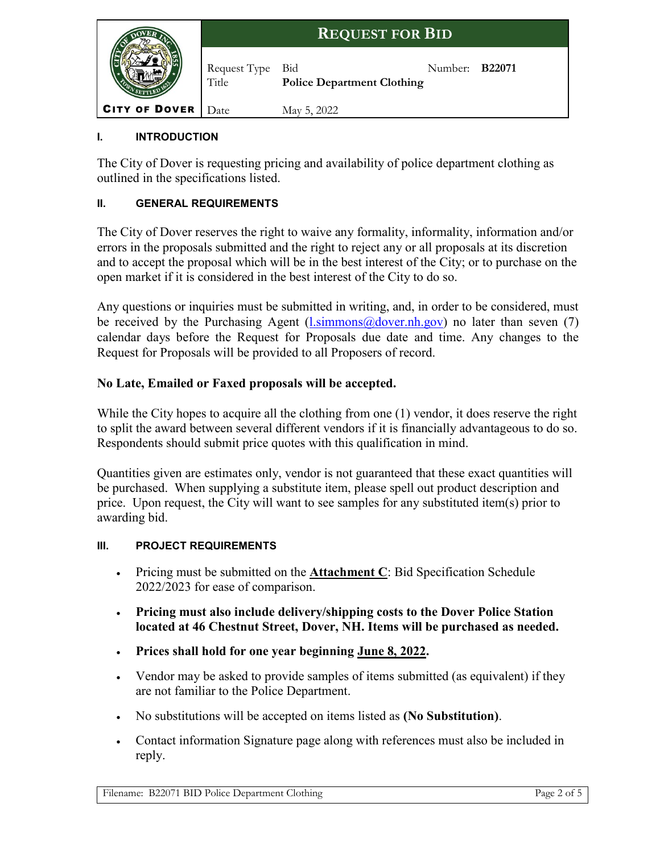

# **I. INTRODUCTION**

The City of Dover is requesting pricing and availability of police department clothing as outlined in the specifications listed.

### **II. GENERAL REQUIREMENTS**

The City of Dover reserves the right to waive any formality, informality, information and/or errors in the proposals submitted and the right to reject any or all proposals at its discretion and to accept the proposal which will be in the best interest of the City; or to purchase on the open market if it is considered in the best interest of the City to do so.

Any questions or inquiries must be submitted in writing, and, in order to be considered, must be received by the Purchasing Agent  $(l.simmons@dover.nh.gov)$  no later than seven (7) calendar days before the Request for Proposals due date and time. Any changes to the Request for Proposals will be provided to all Proposers of record.

# **No Late, Emailed or Faxed proposals will be accepted.**

While the City hopes to acquire all the clothing from one (1) vendor, it does reserve the right to split the award between several different vendors if it is financially advantageous to do so. Respondents should submit price quotes with this qualification in mind.

Quantities given are estimates only, vendor is not guaranteed that these exact quantities will be purchased. When supplying a substitute item, please spell out product description and price. Upon request, the City will want to see samples for any substituted item(s) prior to awarding bid.

### **III. PROJECT REQUIREMENTS**

- Pricing must be submitted on the **Attachment C**: Bid Specification Schedule 2022/2023 for ease of comparison.
- **Pricing must also include delivery/shipping costs to the Dover Police Station located at 46 Chestnut Street, Dover, NH. Items will be purchased as needed.**
- **Prices shall hold for one year beginning June 8, 2022.**
- Vendor may be asked to provide samples of items submitted (as equivalent) if they are not familiar to the Police Department.
- No substitutions will be accepted on items listed as **(No Substitution)**.
- Contact information Signature page along with references must also be included in reply.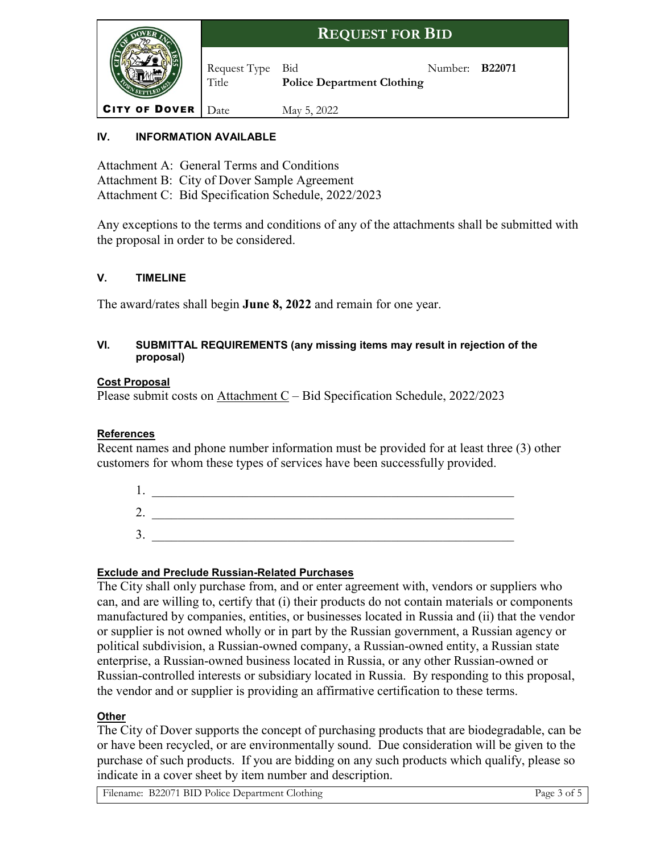

# **IV. INFORMATION AVAILABLE**

Attachment A: General Terms and Conditions Attachment B: City of Dover Sample Agreement Attachment C: Bid Specification Schedule, 2022/2023

Any exceptions to the terms and conditions of any of the attachments shall be submitted with the proposal in order to be considered.

### **V. TIMELINE**

The award/rates shall begin **June 8, 2022** and remain for one year.

#### **VI. SUBMITTAL REQUIREMENTS (any missing items may result in rejection of the proposal)**

#### **Cost Proposal**

Please submit costs on Attachment C – Bid Specification Schedule, 2022/2023

### **References**

Recent names and phone number information must be provided for at least three (3) other customers for whom these types of services have been successfully provided.

| ∼<br>ـ ت |  |
|----------|--|
| ∼<br>J . |  |

### **Exclude and Preclude Russian-Related Purchases**

The City shall only purchase from, and or enter agreement with, vendors or suppliers who can, and are willing to, certify that (i) their products do not contain materials or components manufactured by companies, entities, or businesses located in Russia and (ii) that the vendor or supplier is not owned wholly or in part by the Russian government, a Russian agency or political subdivision, a Russian-owned company, a Russian-owned entity, a Russian state enterprise, a Russian-owned business located in Russia, or any other Russian-owned or Russian-controlled interests or subsidiary located in Russia. By responding to this proposal, the vendor and or supplier is providing an affirmative certification to these terms.

### **Other**

The City of Dover supports the concept of purchasing products that are biodegradable, can be or have been recycled, or are environmentally sound. Due consideration will be given to the purchase of such products. If you are bidding on any such products which qualify, please so indicate in a cover sheet by item number and description.

Filename: B22071 BID Police Department Clothing Page 3 of 5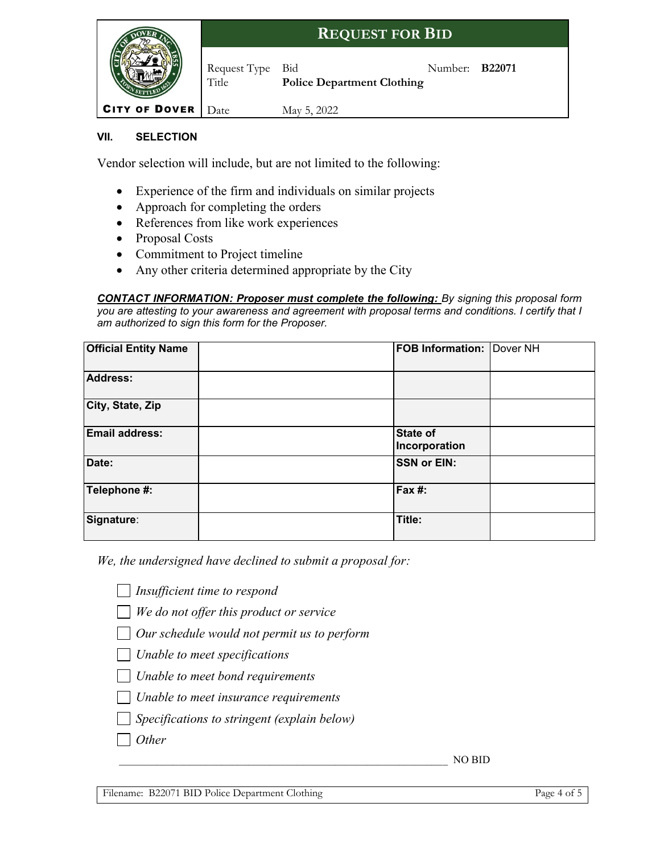|                                   |                           | <b>REQUEST FOR BID</b>            |                       |  |
|-----------------------------------|---------------------------|-----------------------------------|-----------------------|--|
|                                   | Request Type Bid<br>Title | <b>Police Department Clothing</b> | Number: <b>B22071</b> |  |
| <b>CITY OF DOVER</b> $\vert$ Date |                           | May 5, 2022                       |                       |  |

### **VII. SELECTION**

Vendor selection will include, but are not limited to the following:

- Experience of the firm and individuals on similar projects
- Approach for completing the orders
- References from like work experiences
- Proposal Costs
- Commitment to Project timeline
- Any other criteria determined appropriate by the City

*CONTACT INFORMATION: Proposer must complete the following: By signing this proposal form you are attesting to your awareness and agreement with proposal terms and conditions. I certify that I am authorized to sign this form for the Proposer.*

| <b>Official Entity Name</b> | <b>FOB Information: Dover NH</b> |  |
|-----------------------------|----------------------------------|--|
| <b>Address:</b>             |                                  |  |
| City, State, Zip            |                                  |  |
| <b>Email address:</b>       | <b>State of</b><br>Incorporation |  |
| Date:                       | <b>SSN or EIN:</b>               |  |
| Telephone #:                | Fax #:                           |  |
| Signature:                  | Title:                           |  |

*We, the undersigned have declined to submit a proposal for:* 

*Insufficient time to respond*

*We do not offer this product or service*

*Our schedule would not permit us to perform*

- *Unable to meet specifications*
- *Unable to meet bond requirements*
- *Unable to meet insurance requirements*
- *Specifications to stringent (explain below)*
- *Other*

\_\_\_\_\_\_\_\_\_\_\_\_\_\_\_\_\_\_\_\_\_\_\_\_\_\_\_\_\_\_\_\_\_\_\_\_\_\_\_\_\_\_\_\_\_\_\_\_\_\_\_\_\_\_\_\_\_\_\_\_\_ NO BID